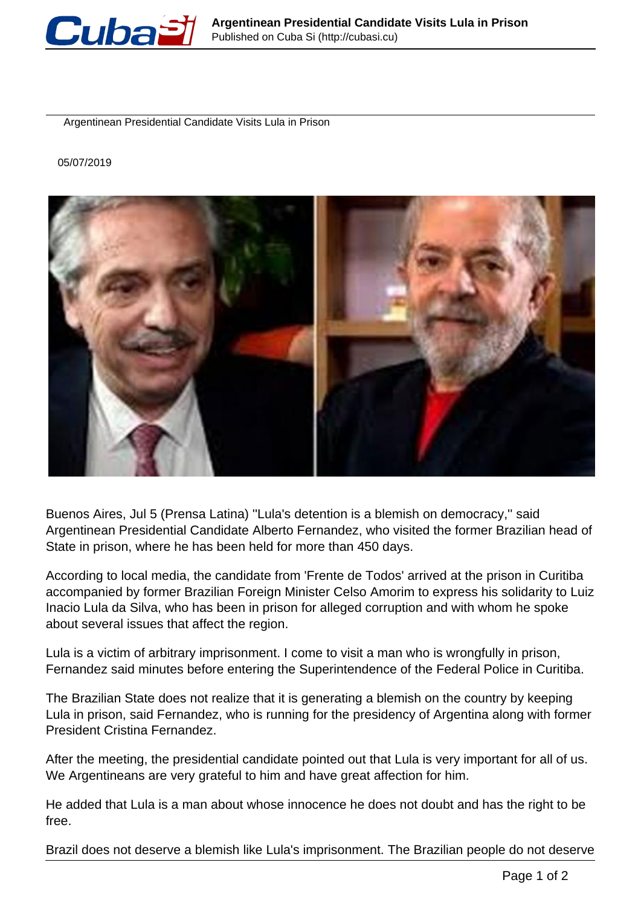

Argentinean Presidential Candidate Visits Lula in Prison

05/07/2019



Buenos Aires, Jul 5 (Prensa Latina) ''Lula's detention is a blemish on democracy,'' said Argentinean Presidential Candidate Alberto Fernandez, who visited the former Brazilian head of State in prison, where he has been held for more than 450 days.

According to local media, the candidate from 'Frente de Todos' arrived at the prison in Curitiba accompanied by former Brazilian Foreign Minister Celso Amorim to express his solidarity to Luiz Inacio Lula da Silva, who has been in prison for alleged corruption and with whom he spoke about several issues that affect the region.

Lula is a victim of arbitrary imprisonment. I come to visit a man who is wrongfully in prison, Fernandez said minutes before entering the Superintendence of the Federal Police in Curitiba.

The Brazilian State does not realize that it is generating a blemish on the country by keeping Lula in prison, said Fernandez, who is running for the presidency of Argentina along with former President Cristina Fernandez.

After the meeting, the presidential candidate pointed out that Lula is very important for all of us. We Argentineans are very grateful to him and have great affection for him.

He added that Lula is a man about whose innocence he does not doubt and has the right to be free.

Brazil does not deserve a blemish like Lula's imprisonment. The Brazilian people do not deserve